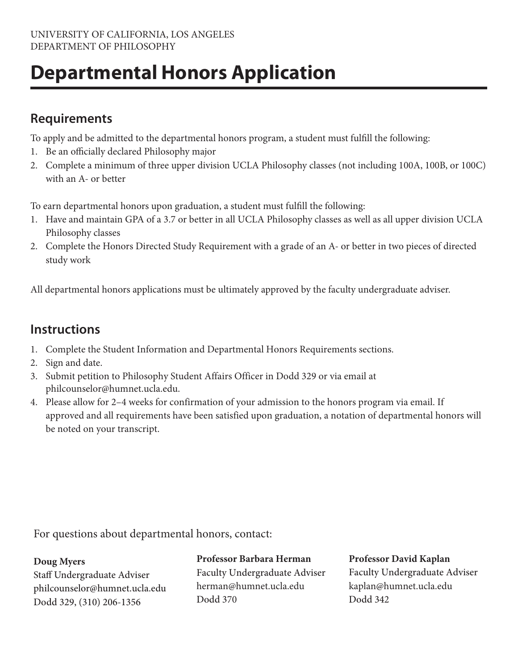# **Departmental Honors Application**

## **Requirements**

To apply and be admitted to the departmental honors program, a student must fulfill the following:

- 1. Be an officially declared Philosophy major
- 2. Complete a minimum of three upper division UCLA Philosophy classes (not including 100A, 100B, or 100C) with an A- or better

To earn departmental honors upon graduation, a student must fulfill the following:

- 1. Have and maintain GPA of a 3.7 or better in all UCLA Philosophy classes as well as all upper division UCLA Philosophy classes
- 2. Complete the Honors Directed Study Requirement with a grade of an A- or better in two pieces of directed study work

All departmental honors applications must be ultimately approved by the faculty undergraduate adviser.

# **Instructions**

- 1. Complete the Student Information and Departmental Honors Requirements sections.
- 2. Sign and date.
- 3. Submit petition to Philosophy Student Affairs Officer in Dodd 329 or via email at philcounselor@humnet.ucla.edu.
- 4. Please allow for 2–4 weeks for confirmation of your admission to the honors program via email. If approved and all requirements have been satisfied upon graduation, a notation of departmental honors will be noted on your transcript.

For questions about departmental honors, contact:

#### **Doug Myers**

Staff Undergraduate Adviser philcounselor@humnet.ucla.edu Dodd 329, (310) 206-1356

#### **Professor Professor David Kaplan**

**Faculty Undergraduate Adviser** herman@humnet.ucla.edu Dodd 370

Faculty Undergraduate Adviser kaplan@humnet.ucla.edu Dodd 342